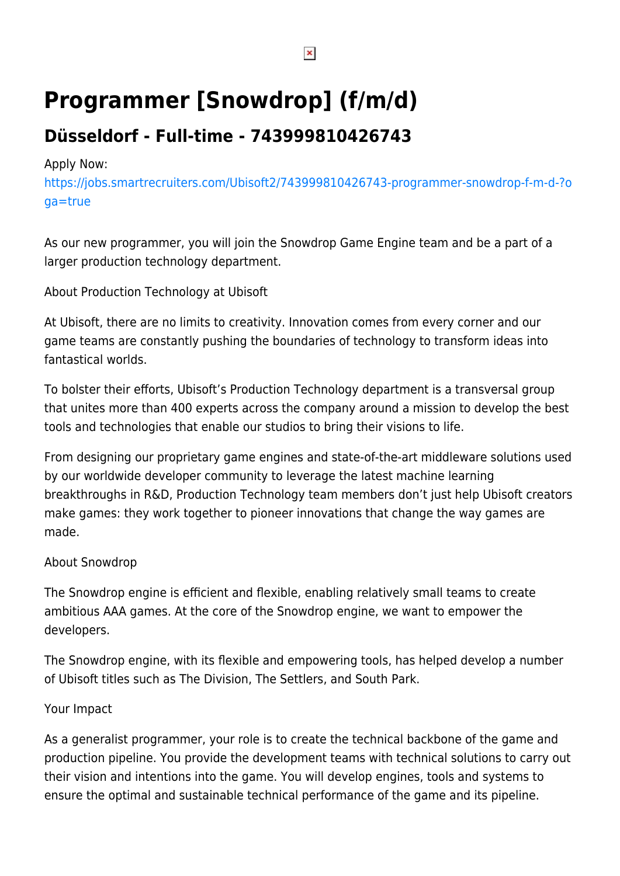# **Programmer [Snowdrop] (f/m/d)**

## **Düsseldorf - Full-time - 743999810426743**

#### Apply Now:

[https://jobs.smartrecruiters.com/Ubisoft2/743999810426743-programmer-snowdrop-f-m-d-?o](https://jobs.smartrecruiters.com/Ubisoft2/743999810426743-programmer-snowdrop-f-m-d-?oga=true) [ga=true](https://jobs.smartrecruiters.com/Ubisoft2/743999810426743-programmer-snowdrop-f-m-d-?oga=true)

As our new programmer, you will join the Snowdrop Game Engine team and be a part of a larger production technology department.

About Production Technology at Ubisoft

At Ubisoft, there are no limits to creativity. Innovation comes from every corner and our game teams are constantly pushing the boundaries of technology to transform ideas into fantastical worlds.

To bolster their efforts, Ubisoft's Production Technology department is a transversal group that unites more than 400 experts across the company around a mission to develop the best tools and technologies that enable our studios to bring their visions to life.

From designing our proprietary game engines and state-of-the-art middleware solutions used by our worldwide developer community to leverage the latest machine learning breakthroughs in R&D, Production Technology team members don't just help Ubisoft creators make games: they work together to pioneer innovations that change the way games are made.

### About Snowdrop

The Snowdrop engine is efficient and flexible, enabling relatively small teams to create ambitious AAA games. At the core of the Snowdrop engine, we want to empower the developers.

The Snowdrop engine, with its flexible and empowering tools, has helped develop a number of Ubisoft titles such as The Division, The Settlers, and South Park.

### Your Impact

As a generalist programmer, your role is to create the technical backbone of the game and production pipeline. You provide the development teams with technical solutions to carry out their vision and intentions into the game. You will develop engines, tools and systems to ensure the optimal and sustainable technical performance of the game and its pipeline.

 $\pmb{\times}$